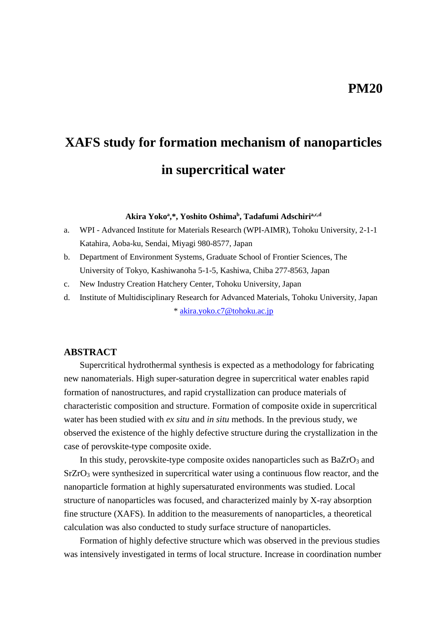# **XAFS study for formation mechanism of nanoparticles in supercritical water**

**Akira Yoko<sup>a</sup> ,\*, Yoshito Oshima<sup>b</sup> , Tadafumi Adschiria,c,d**

- a. WPI Advanced Institute for Materials Research (WPI-AIMR), Tohoku University, 2-1-1 Katahira, Aoba-ku, Sendai, Miyagi 980-8577, Japan
- b. Department of Environment Systems, Graduate School of Frontier Sciences, The University of Tokyo, Kashiwanoha 5-1-5, Kashiwa, Chiba 277-8563, Japan
- c. New Industry Creation Hatchery Center, Tohoku University, Japan
- d. Institute of Multidisciplinary Research for Advanced Materials, Tohoku University, Japan \* [akira.yoko.c7@tohoku.ac.jp](mailto:akira.yoko.c7@tohoku.ac.jp)

### **ABSTRACT**

Supercritical hydrothermal synthesis is expected as a methodology for fabricating new nanomaterials. High super-saturation degree in supercritical water enables rapid formation of nanostructures, and rapid crystallization can produce materials of characteristic composition and structure. Formation of composite oxide in supercritical water has been studied with *ex situ* and *in situ* methods. In the previous study, we observed the existence of the highly defective structure during the crystallization in the case of perovskite-type composite oxide.

In this study, perovskite-type composite oxides nanoparticles such as BaZrO<sub>3</sub> and SrZrO<sup>3</sup> were synthesized in supercritical water using a continuous flow reactor, and the nanoparticle formation at highly supersaturated environments was studied. Local structure of nanoparticles was focused, and characterized mainly by X-ray absorption fine structure (XAFS). In addition to the measurements of nanoparticles, a theoretical calculation was also conducted to study surface structure of nanoparticles.

Formation of highly defective structure which was observed in the previous studies was intensively investigated in terms of local structure. Increase in coordination number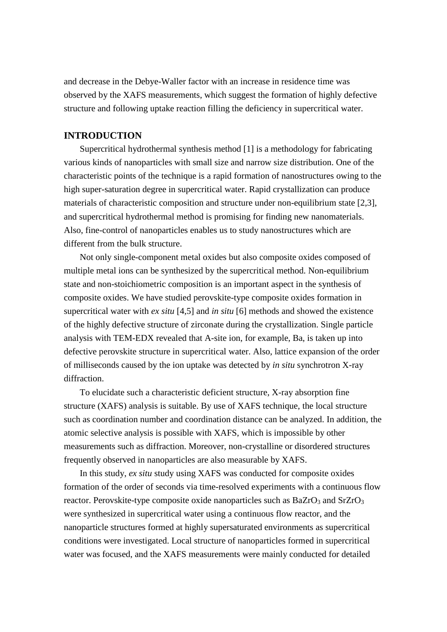and decrease in the Debye-Waller factor with an increase in residence time was observed by the XAFS measurements, which suggest the formation of highly defective structure and following uptake reaction filling the deficiency in supercritical water.

## **INTRODUCTION**

Supercritical hydrothermal synthesis method [1] is a methodology for fabricating various kinds of nanoparticles with small size and narrow size distribution. One of the characteristic points of the technique is a rapid formation of nanostructures owing to the high super-saturation degree in supercritical water. Rapid crystallization can produce materials of characteristic composition and structure under non-equilibrium state [2,3], and supercritical hydrothermal method is promising for finding new nanomaterials. Also, fine-control of nanoparticles enables us to study nanostructures which are different from the bulk structure.

Not only single-component metal oxides but also composite oxides composed of multiple metal ions can be synthesized by the supercritical method. Non-equilibrium state and non-stoichiometric composition is an important aspect in the synthesis of composite oxides. We have studied perovskite-type composite oxides formation in supercritical water with *ex situ* [4,5] and *in situ* [6] methods and showed the existence of the highly defective structure of zirconate during the crystallization. Single particle analysis with TEM-EDX revealed that A-site ion, for example, Ba, is taken up into defective perovskite structure in supercritical water. Also, lattice expansion of the order of milliseconds caused by the ion uptake was detected by *in situ* synchrotron X-ray diffraction.

To elucidate such a characteristic deficient structure, X-ray absorption fine structure (XAFS) analysis is suitable. By use of XAFS technique, the local structure such as coordination number and coordination distance can be analyzed. In addition, the atomic selective analysis is possible with XAFS, which is impossible by other measurements such as diffraction. Moreover, non-crystalline or disordered structures frequently observed in nanoparticles are also measurable by XAFS.

In this study, *ex situ* study using XAFS was conducted for composite oxides formation of the order of seconds via time-resolved experiments with a continuous flow reactor. Perovskite-type composite oxide nanoparticles such as BaZrO<sub>3</sub> and SrZrO<sub>3</sub> were synthesized in supercritical water using a continuous flow reactor, and the nanoparticle structures formed at highly supersaturated environments as supercritical conditions were investigated. Local structure of nanoparticles formed in supercritical water was focused, and the XAFS measurements were mainly conducted for detailed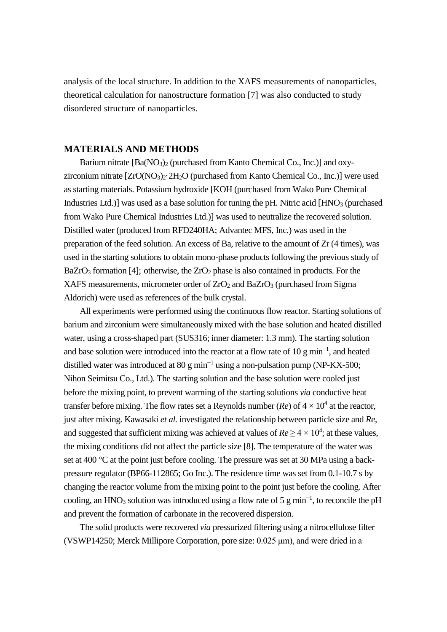analysis of the local structure. In addition to the XAFS measurements of nanoparticles, theoretical calculation for nanostructure formation [7] was also conducted to study disordered structure of nanoparticles.

#### **MATERIALS AND METHODS**

Barium nitrate  $[Ba(NO_3)_2]$  (purchased from Kanto Chemical Co., Inc.)] and oxyzirconium nitrate  $[ZrO(NO<sub>3</sub>)<sub>2</sub>·2H<sub>2</sub>O$  (purchased from Kanto Chemical Co., Inc.)] were used as starting materials. Potassium hydroxide [KOH (purchased from Wako Pure Chemical Industries Ltd.)] was used as a base solution for tuning the pH. Nitric acid  $[HNO<sub>3</sub>$  (purchased from Wako Pure Chemical Industries Ltd.)] was used to neutralize the recovered solution. Distilled water (produced from RFD240HA; Advantec MFS, Inc.) was used in the preparation of the feed solution. An excess of Ba, relative to the amount of Zr (4 times), was used in the starting solutions to obtain mono-phase products following the previous study of BaZrO<sub>3</sub> formation [4]; otherwise, the  $ZrO<sub>2</sub>$  phase is also contained in products. For the XAFS measurements, micrometer order of  $ZrO<sub>2</sub>$  and BaZrO<sub>3</sub> (purchased from Sigma Aldorich) were used as references of the bulk crystal.

All experiments were performed using the continuous flow reactor. Starting solutions of barium and zirconium were simultaneously mixed with the base solution and heated distilled water, using a cross-shaped part (SUS316; inner diameter: 1.3 mm). The starting solution and base solution were introduced into the reactor at a flow rate of 10 g min<sup>-1</sup>, and heated distilled water was introduced at 80 g min<sup>-1</sup> using a non-pulsation pump (NP-KX-500; Nihon Seimitsu Co., Ltd.). The starting solution and the base solution were cooled just before the mixing point, to prevent warming of the starting solutions *via* conductive heat transfer before mixing. The flow rates set a Reynolds number ( $Re$ ) of  $4 \times 10^4$  at the reactor, just after mixing. Kawasaki *et al.* investigated the relationship between particle size and *Re*, and suggested that sufficient mixing was achieved at values of  $Re \ge 4 \times 10^4$ ; at these values, the mixing conditions did not affect the particle size [8]. The temperature of the water was set at 400 °C at the point just before cooling. The pressure was set at 30 MPa using a backpressure regulator (BP66-112865; Go Inc.). The residence time was set from 0.1-10.7 s by changing the reactor volume from the mixing point to the point just before the cooling. After cooling, an HNO<sub>3</sub> solution was introduced using a flow rate of 5 g min<sup>-1</sup>, to reconcile the pH and prevent the formation of carbonate in the recovered dispersion.

The solid products were recovered *via* pressurized filtering using a nitrocellulose filter (VSWP14250; Merck Millipore Corporation, pore size: 0.025 μm), and were dried in a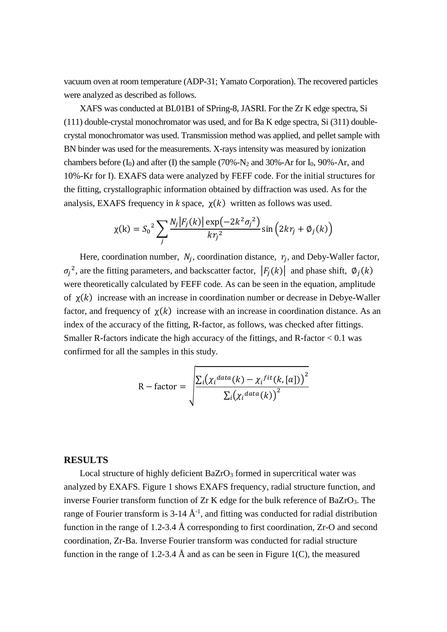vacuum oven at room temperature (ADP-31; Yamato Corporation). The recovered particles were analyzed as described as follows.

XAFS was conducted at BL01B1 of SPring-8, JASRI. For the Zr K edge spectra, Si (111) double-crystal monochromator was used, and for Ba K edge spectra, Si (311) doublecrystal monochromator was used. Transmission method was applied, and pellet sample with BN binder was used for the measurements. X-rays intensity was measured by ionization chambers before  $(I_0)$  and after  $(I)$  the sample  $(70\%~N_2$  and  $30\%~Ar$  for  $I_0$ ,  $90\%~Ar$ , and 10%-Kr for I). EXAFS data were analyzed by FEFF code. For the initial structures for the fitting, crystallographic information obtained by diffraction was used. As for the analysis, EXAFS frequency in  $k$  space,  $\chi(k)$  written as follows was used.

$$
\chi(k) = S_0^2 \sum_j \frac{N_j |F_j(k)| \exp(-2k^2 \sigma_j^2)}{kr_j^2} \sin(2kr_j + \phi_j(k))
$$

Here, coordination number,  $N_j$ , coordination distance,  $r_j$ , and Deby-Waller factor,  $\sigma_j^2$ , are the fitting parameters, and backscatter factor,  $|F_j(k)|$  and phase shift,  $\phi_j(k)$ were theoretically calculated by FEFF code. As can be seen in the equation, amplitude of  $\chi(k)$  increase with an increase in coordination number or decrease in Debye-Waller factor, and frequency of  $\chi(k)$  increase with an increase in coordination distance. As an index of the accuracy of the fitting, R-factor, as follows, was checked after fittings. Smaller R-factors indicate the high accuracy of the fittings, and R-factor  $< 0.1$  was confirmed for all the samples in this study.

$$
R - factor = \sqrt{\frac{\sum_{i} (\chi_{i}^{data}(k) - \chi_{i}^{fit}(k,[a]))^{2}}{\sum_{i} (\chi_{i}^{data}(k))^{2}}}
$$

### **RESULTS**

Local structure of highly deficient  $BaZrO<sub>3</sub>$  formed in supercritical water was analyzed by EXAFS. Figure 1 shows EXAFS frequency, radial structure function, and inverse Fourier transform function of Zr K edge for the bulk reference of BaZrO3. The range of Fourier transform is 3-14  $\AA$ <sup>-1</sup>, and fitting was conducted for radial distribution function in the range of 1.2-3.4 Å corresponding to first coordination,  $Zr-O$  and second coordination, Zr-Ba. Inverse Fourier transform was conducted for radial structure function in the range of 1.2-3.4 Å and as can be seen in Figure 1(C), the measured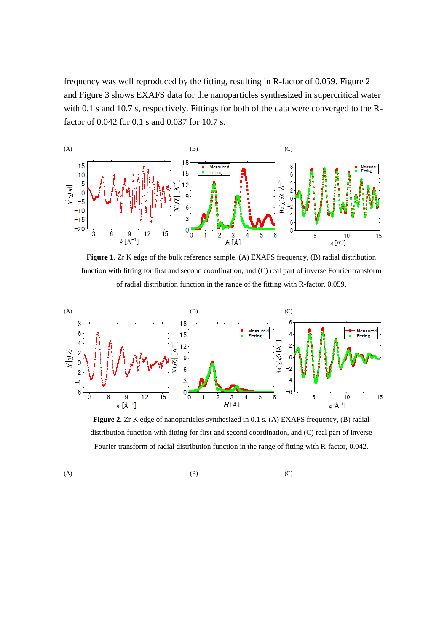frequency was well reproduced by the fitting, resulting in R-factor of 0.059. Figure 2 and Figure 3 shows EXAFS data for the nanoparticles synthesized in supercritical water with 0.1 s and 10.7 s, respectively. Fittings for both of the data were converged to the Rfactor of 0.042 for 0.1 s and 0.037 for 10.7 s.



**Figure 1**. Zr K edge of the bulk reference sample. (A) EXAFS frequency, (B) radial distribution function with fitting for first and second coordination, and (C) real part of inverse Fourier transform of radial distribution function in the range of the fitting with R-factor, 0.059.



**Figure 2**. Zr K edge of nanoparticles synthesized in 0.1 s. (A) EXAFS frequency, (B) radial distribution function with fitting for first and second coordination, and (C) real part of inverse Fourier transform of radial distribution function in the range of fitting with R-factor, 0.042.

(A)  $(B)$  (C)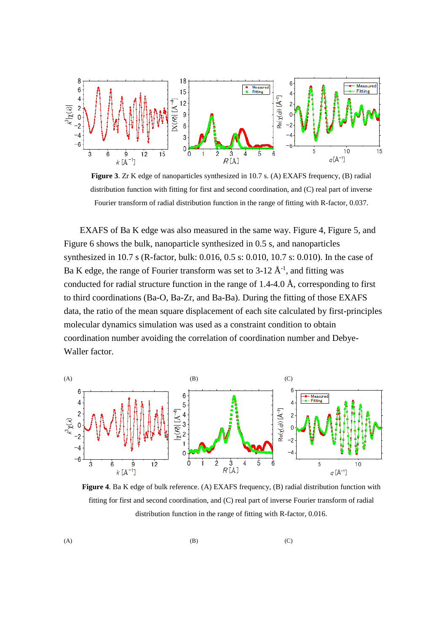

**Figure 3**. Zr K edge of nanoparticles synthesized in 10.7 s. (A) EXAFS frequency, (B) radial distribution function with fitting for first and second coordination, and (C) real part of inverse Fourier transform of radial distribution function in the range of fitting with R-factor, 0.037.

EXAFS of Ba K edge was also measured in the same way. Figure 4, Figure 5, and Figure 6 shows the bulk, nanoparticle synthesized in 0.5 s, and nanoparticles synthesized in 10.7 s (R-factor, bulk: 0.016, 0.5 s: 0.010, 10.7 s: 0.010). In the case of Ba K edge, the range of Fourier transform was set to 3-12  $\AA$ <sup>-1</sup>, and fitting was conducted for radial structure function in the range of  $1.4$ -4.0 Å, corresponding to first to third coordinations (Ba-O, Ba-Zr, and Ba-Ba). During the fitting of those EXAFS data, the ratio of the mean square displacement of each site calculated by first-principles molecular dynamics simulation was used as a constraint condition to obtain coordination number avoiding the correlation of coordination number and Debye-Waller factor.



**Figure 4**. Ba K edge of bulk reference. (A) EXAFS frequency, (B) radial distribution function with fitting for first and second coordination, and (C) real part of inverse Fourier transform of radial distribution function in the range of fitting with R-factor, 0.016.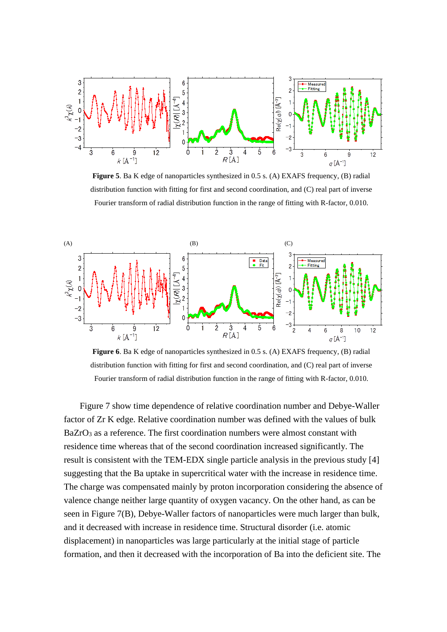

**Figure 5**. Ba K edge of nanoparticles synthesized in 0.5 s. (A) EXAFS frequency, (B) radial distribution function with fitting for first and second coordination, and (C) real part of inverse Fourier transform of radial distribution function in the range of fitting with R-factor, 0.010.



**Figure 6**. Ba K edge of nanoparticles synthesized in 0.5 s. (A) EXAFS frequency, (B) radial distribution function with fitting for first and second coordination, and (C) real part of inverse Fourier transform of radial distribution function in the range of fitting with R-factor, 0.010.

Figure 7 show time dependence of relative coordination number and Debye-Waller factor of Zr K edge. Relative coordination number was defined with the values of bulk  $BaZrO<sub>3</sub>$  as a reference. The first coordination numbers were almost constant with residence time whereas that of the second coordination increased significantly. The result is consistent with the TEM-EDX single particle analysis in the previous study [4] suggesting that the Ba uptake in supercritical water with the increase in residence time. The charge was compensated mainly by proton incorporation considering the absence of valence change neither large quantity of oxygen vacancy. On the other hand, as can be seen in Figure 7(B), Debye-Waller factors of nanoparticles were much larger than bulk, and it decreased with increase in residence time. Structural disorder (i.e. atomic displacement) in nanoparticles was large particularly at the initial stage of particle formation, and then it decreased with the incorporation of Ba into the deficient site. The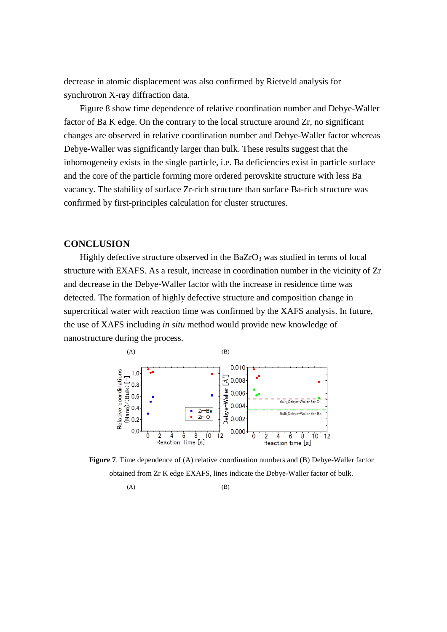decrease in atomic displacement was also confirmed by Rietveld analysis for synchrotron X-ray diffraction data.

Figure 8 show time dependence of relative coordination number and Debye-Waller factor of Ba K edge. On the contrary to the local structure around Zr, no significant changes are observed in relative coordination number and Debye-Waller factor whereas Debye-Waller was significantly larger than bulk. These results suggest that the inhomogeneity exists in the single particle, i.e. Ba deficiencies exist in particle surface and the core of the particle forming more ordered perovskite structure with less Ba vacancy. The stability of surface Zr-rich structure than surface Ba-rich structure was confirmed by first-principles calculation for cluster structures.

### **CONCLUSION**

Highly defective structure observed in the  $BaZrO<sub>3</sub>$  was studied in terms of local structure with EXAFS. As a result, increase in coordination number in the vicinity of Zr and decrease in the Debye-Waller factor with the increase in residence time was detected. The formation of highly defective structure and composition change in supercritical water with reaction time was confirmed by the XAFS analysis. In future, the use of XAFS including *in situ* method would provide new knowledge of nanostructure during the process.



**Figure 7**. Time dependence of (A) relative coordination numbers and (B) Debye-Waller factor obtained from Zr K edge EXAFS, lines indicate the Debye-Waller factor of bulk.

 $(A)$  (B)